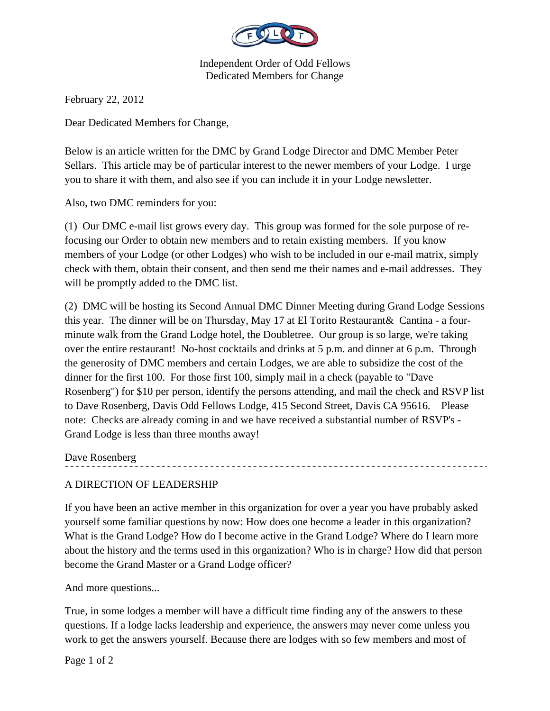

Independent Order of Odd Fellows Dedicated Members for Change

February 22, 2012

Dear Dedicated Members for Change,

Below is an article written for the DMC by Grand Lodge Director and DMC Member Peter Sellars. This article may be of particular interest to the newer members of your Lodge. I urge you to share it with them, and also see if you can include it in your Lodge newsletter.

Also, two DMC reminders for you:

(1) Our DMC e-mail list grows every day. This group was formed for the sole purpose of refocusing our Order to obtain new members and to retain existing members. If you know members of your Lodge (or other Lodges) who wish to be included in our e-mail matrix, simply check with them, obtain their consent, and then send me their names and e-mail addresses. They will be promptly added to the DMC list.

(2) DMC will be hosting its Second Annual DMC Dinner Meeting during Grand Lodge Sessions this year. The dinner will be on Thursday, May 17 at El Torito Restaurant& Cantina - a fourminute walk from the Grand Lodge hotel, the Doubletree. Our group is so large, we're taking over the entire restaurant! No-host cocktails and drinks at 5 p.m. and dinner at 6 p.m. Through the generosity of DMC members and certain Lodges, we are able to subsidize the cost of the dinner for the first 100. For those first 100, simply mail in a check (payable to "Dave Rosenberg") for \$10 per person, identify the persons attending, and mail the check and RSVP list to Dave Rosenberg, Davis Odd Fellows Lodge, 415 Second Street, Davis CA 95616. Please note: Checks are already coming in and we have received a substantial number of RSVP's - Grand Lodge is less than three months away!

Dave Rosenberg

## A DIRECTION OF LEADERSHIP

If you have been an active member in this organization for over a year you have probably asked yourself some familiar questions by now: How does one become a leader in this organization? What is the Grand Lodge? How do I become active in the Grand Lodge? Where do I learn more about the history and the terms used in this organization? Who is in charge? How did that person become the Grand Master or a Grand Lodge officer?

And more questions...

True, in some lodges a member will have a difficult time finding any of the answers to these questions. If a lodge lacks leadership and experience, the answers may never come unless you work to get the answers yourself. Because there are lodges with so few members and most of

Page 1 of 2